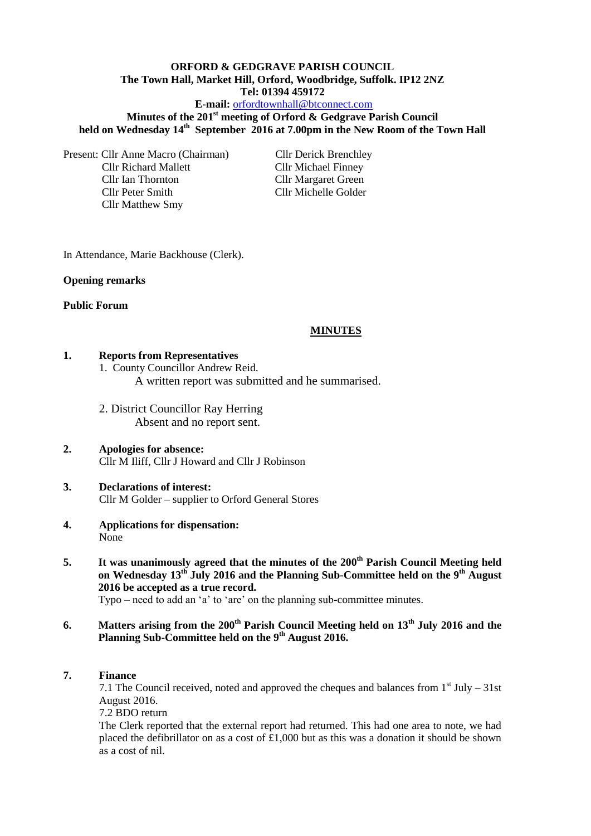# **ORFORD & GEDGRAVE PARISH COUNCIL The Town Hall, Market Hill, Orford, Woodbridge, Suffolk. IP12 2NZ Tel: 01394 459172 E-mail:** [orfordtownhall@btconnect.com](mailto:orfordtownhall@btconnect.com)

# **Minutes of the 201st meeting of Orford & Gedgrave Parish Council held on Wednesday 14th September 2016 at 7.00pm in the New Room of the Town Hall**

Present: Cllr Anne Macro (Chairman) Cllr Derick Brenchley Cllr Richard Mallett Cllr Michael Finney Cllr Ian Thornton Cllr Margaret Green Cllr Peter Smith Cllr Michelle Golder Cllr Matthew Smy

In Attendance, Marie Backhouse (Clerk).

#### **Opening remarks**

### **Public Forum**

### **MINUTES**

#### **1. Reports from Representatives**

1. County Councillor Andrew Reid.

A written report was submitted and he summarised.

2. District Councillor Ray Herring Absent and no report sent.

#### **2. Apologies for absence:** Cllr M Iliff, Cllr J Howard and Cllr J Robinson

### **3. Declarations of interest:** Cllr M Golder – supplier to Orford General Stores

- **4. Applications for dispensation:** None
- **5. It was unanimously agreed that the minutes of the 200th Parish Council Meeting held on Wednesday 13th July 2016 and the Planning Sub-Committee held on the 9th August 2016 be accepted as a true record.** Typo – need to add an 'a' to 'are' on the planning sub-committee minutes.

- **6. Matters arising from the 200th Parish Council Meeting held on 13th July 2016 and the Planning Sub-Committee held on the 9th August 2016.**
- **7. Finance**

7.1 The Council received, noted and approved the cheques and balances from  $1<sup>st</sup>$  July – 31st August 2016.

7.2 BDO return

The Clerk reported that the external report had returned. This had one area to note, we had placed the defibrillator on as a cost of  $\text{\pounds}1,000$  but as this was a donation it should be shown as a cost of nil.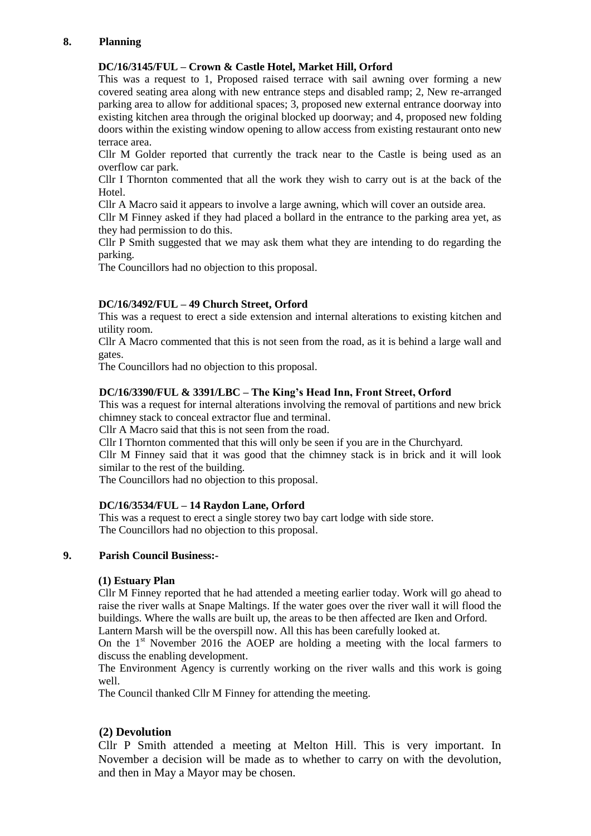# **8. Planning**

# **DC/16/3145/FUL – Crown & Castle Hotel, Market Hill, Orford**

This was a request to 1, Proposed raised terrace with sail awning over forming a new covered seating area along with new entrance steps and disabled ramp; 2, New re-arranged parking area to allow for additional spaces; 3, proposed new external entrance doorway into existing kitchen area through the original blocked up doorway; and 4, proposed new folding doors within the existing window opening to allow access from existing restaurant onto new terrace area.

Cllr M Golder reported that currently the track near to the Castle is being used as an overflow car park.

Cllr I Thornton commented that all the work they wish to carry out is at the back of the Hotel.

Cllr A Macro said it appears to involve a large awning, which will cover an outside area.

Cllr M Finney asked if they had placed a bollard in the entrance to the parking area yet, as they had permission to do this.

Cllr P Smith suggested that we may ask them what they are intending to do regarding the parking.

The Councillors had no objection to this proposal.

# **DC/16/3492/FUL – 49 Church Street, Orford**

This was a request to erect a side extension and internal alterations to existing kitchen and utility room.

Cllr A Macro commented that this is not seen from the road, as it is behind a large wall and gates.

The Councillors had no objection to this proposal.

# **DC/16/3390/FUL & 3391/LBC – The King's Head Inn, Front Street, Orford**

This was a request for internal alterations involving the removal of partitions and new brick chimney stack to conceal extractor flue and terminal.

Cllr A Macro said that this is not seen from the road.

Cllr I Thornton commented that this will only be seen if you are in the Churchyard.

Cllr M Finney said that it was good that the chimney stack is in brick and it will look similar to the rest of the building.

The Councillors had no objection to this proposal.

# **DC/16/3534/FUL – 14 Raydon Lane, Orford**

This was a request to erect a single storey two bay cart lodge with side store. The Councillors had no objection to this proposal.

# **9. Parish Council Business:-**

#### **(1) Estuary Plan**

Cllr M Finney reported that he had attended a meeting earlier today. Work will go ahead to raise the river walls at Snape Maltings. If the water goes over the river wall it will flood the buildings. Where the walls are built up, the areas to be then affected are Iken and Orford.

Lantern Marsh will be the overspill now. All this has been carefully looked at.

On the  $1<sup>st</sup>$  November 2016 the AOEP are holding a meeting with the local farmers to discuss the enabling development.

The Environment Agency is currently working on the river walls and this work is going well.

The Council thanked Cllr M Finney for attending the meeting.

# **(2) Devolution**

Cllr P Smith attended a meeting at Melton Hill. This is very important. In November a decision will be made as to whether to carry on with the devolution, and then in May a Mayor may be chosen.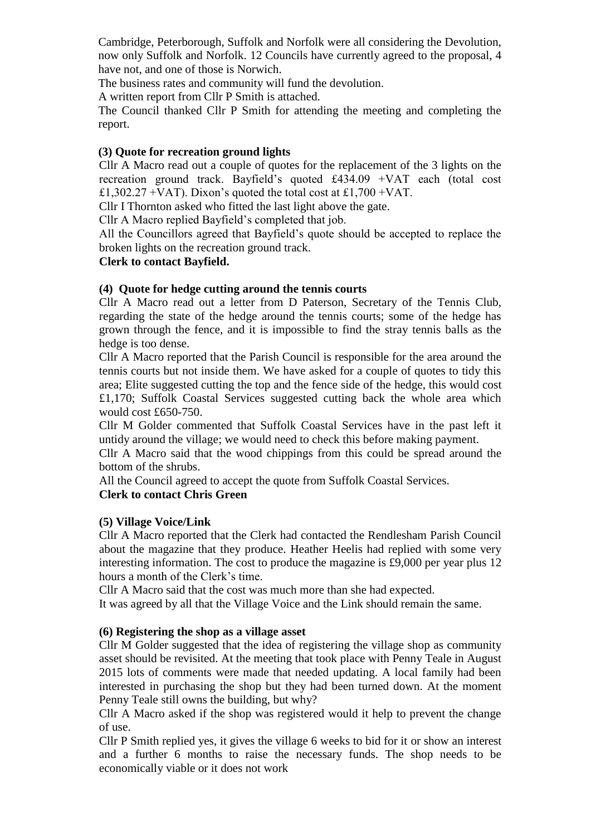Cambridge, Peterborough, Suffolk and Norfolk were all considering the Devolution, now only Suffolk and Norfolk. 12 Councils have currently agreed to the proposal, 4 have not, and one of those is Norwich.

The business rates and community will fund the devolution.

A written report from Cllr P Smith is attached.

The Council thanked Cllr P Smith for attending the meeting and completing the report.

# **(3) Quote for recreation ground lights**

Cllr A Macro read out a couple of quotes for the replacement of the 3 lights on the recreation ground track. Bayfield's quoted £434.09 +VAT each (total cost £1,302.27 +VAT). Dixon's quoted the total cost at £1,700 +VAT.

Cllr I Thornton asked who fitted the last light above the gate.

Cllr A Macro replied Bayfield's completed that job.

All the Councillors agreed that Bayfield's quote should be accepted to replace the broken lights on the recreation ground track.

# **Clerk to contact Bayfield.**

# **(4) Quote for hedge cutting around the tennis courts**

Cllr A Macro read out a letter from D Paterson, Secretary of the Tennis Club, regarding the state of the hedge around the tennis courts; some of the hedge has grown through the fence, and it is impossible to find the stray tennis balls as the hedge is too dense.

Cllr A Macro reported that the Parish Council is responsible for the area around the tennis courts but not inside them. We have asked for a couple of quotes to tidy this area; Elite suggested cutting the top and the fence side of the hedge, this would cost £1,170; Suffolk Coastal Services suggested cutting back the whole area which would cost £650-750.

Cllr M Golder commented that Suffolk Coastal Services have in the past left it untidy around the village; we would need to check this before making payment.

Cllr A Macro said that the wood chippings from this could be spread around the bottom of the shrubs.

All the Council agreed to accept the quote from Suffolk Coastal Services.

# **Clerk to contact Chris Green**

# **(5) Village Voice/Link**

Cllr A Macro reported that the Clerk had contacted the Rendlesham Parish Council about the magazine that they produce. Heather Heelis had replied with some very interesting information. The cost to produce the magazine is £9,000 per year plus 12 hours a month of the Clerk's time.

Cllr A Macro said that the cost was much more than she had expected.

It was agreed by all that the Village Voice and the Link should remain the same.

# **(6) Registering the shop as a village asset**

Cllr M Golder suggested that the idea of registering the village shop as community asset should be revisited. At the meeting that took place with Penny Teale in August 2015 lots of comments were made that needed updating. A local family had been interested in purchasing the shop but they had been turned down. At the moment Penny Teale still owns the building, but why?

Cllr A Macro asked if the shop was registered would it help to prevent the change of use.

Cllr P Smith replied yes, it gives the village 6 weeks to bid for it or show an interest and a further 6 months to raise the necessary funds. The shop needs to be economically viable or it does not work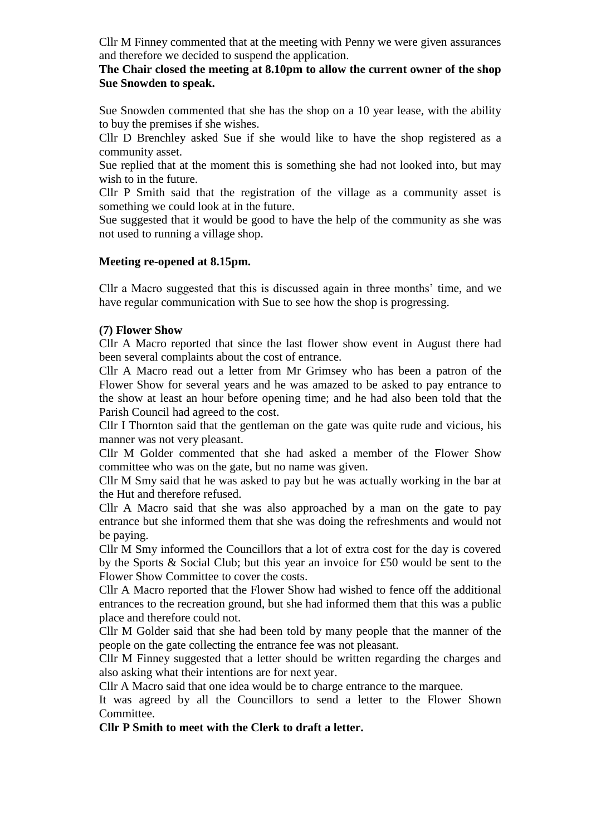Cllr M Finney commented that at the meeting with Penny we were given assurances and therefore we decided to suspend the application.

# **The Chair closed the meeting at 8.10pm to allow the current owner of the shop Sue Snowden to speak.**

Sue Snowden commented that she has the shop on a 10 year lease, with the ability to buy the premises if she wishes.

Cllr D Brenchley asked Sue if she would like to have the shop registered as a community asset.

Sue replied that at the moment this is something she had not looked into, but may wish to in the future.

Cllr P Smith said that the registration of the village as a community asset is something we could look at in the future.

Sue suggested that it would be good to have the help of the community as she was not used to running a village shop.

# **Meeting re-opened at 8.15pm.**

Cllr a Macro suggested that this is discussed again in three months' time, and we have regular communication with Sue to see how the shop is progressing.

### **(7) Flower Show**

Cllr A Macro reported that since the last flower show event in August there had been several complaints about the cost of entrance.

Cllr A Macro read out a letter from Mr Grimsey who has been a patron of the Flower Show for several years and he was amazed to be asked to pay entrance to the show at least an hour before opening time; and he had also been told that the Parish Council had agreed to the cost.

Cllr I Thornton said that the gentleman on the gate was quite rude and vicious, his manner was not very pleasant.

Cllr M Golder commented that she had asked a member of the Flower Show committee who was on the gate, but no name was given.

Cllr M Smy said that he was asked to pay but he was actually working in the bar at the Hut and therefore refused.

Cllr A Macro said that she was also approached by a man on the gate to pay entrance but she informed them that she was doing the refreshments and would not be paying.

Cllr M Smy informed the Councillors that a lot of extra cost for the day is covered by the Sports & Social Club; but this year an invoice for £50 would be sent to the Flower Show Committee to cover the costs.

Cllr A Macro reported that the Flower Show had wished to fence off the additional entrances to the recreation ground, but she had informed them that this was a public place and therefore could not.

Cllr M Golder said that she had been told by many people that the manner of the people on the gate collecting the entrance fee was not pleasant.

Cllr M Finney suggested that a letter should be written regarding the charges and also asking what their intentions are for next year.

Cllr A Macro said that one idea would be to charge entrance to the marquee.

It was agreed by all the Councillors to send a letter to the Flower Shown Committee.

**Cllr P Smith to meet with the Clerk to draft a letter.**